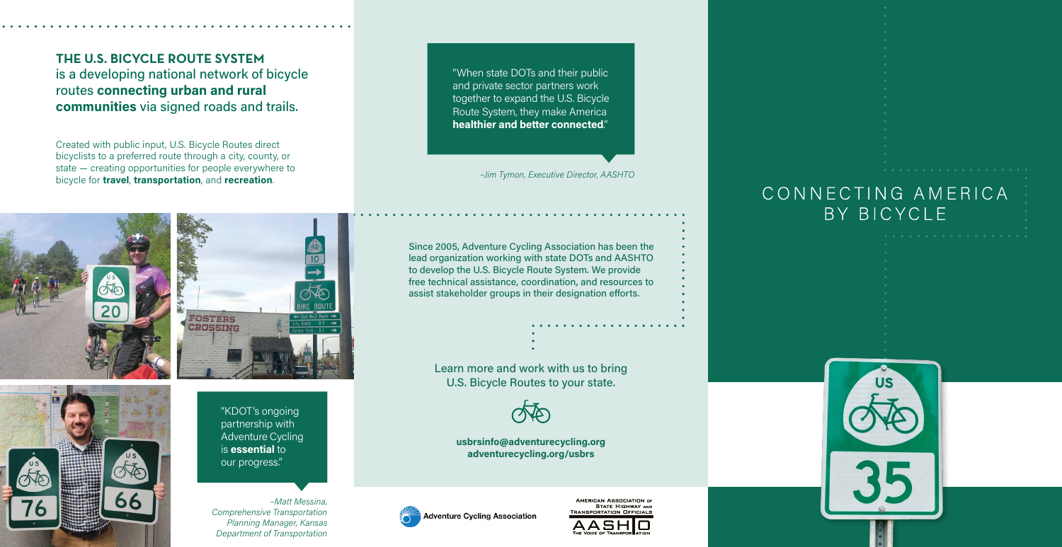Since 2005, Adventure Cycling Association has been the lead organization working with state DOTs and AASHTO to develop the U.S. Bicycle Route System. We provide free technical assistance, coordination, and resources to assist stakeholder groups in their designation efforts.

> Learn more and work with us to bring U.S. Bicycle Routes to your state.



"When state DOTs and their public and private sector partners work together to expand the U.S. Bicycle Route System, they make America **healthier and better connected**."

*–Jim Tymon, Executive Director, AASHTO*

**usbrsinfo@adventurecycling.org adventurecycling.org/usbrs**



AMERICAN ASSOCIATION OF **STATE HIGHWAY AND TRANSPORTATION OFFICIALS** 



# CONNECTING AMERICA BY BICYCLE



**THE U.S. BICYCLE ROUTE SYSTEM** is a developing national network of bicycle routes **connecting urban and rural communities** via signed roads and trails.

> "KDOT's ongoing partnership with Adventure Cycling is **essential** to our progress."

*–Matt Messina, Comprehensive Transportation Planning Manager, Kansas Department of Transportation*

Created with public input, U.S. Bicycle Routes direct bicyclists to a preferred route through a city, county, or state — creating opportunities for people everywhere to bicycle for **travel**, **transportation**, and **recreation**.





 $10$ **OSTERS CROSSING**